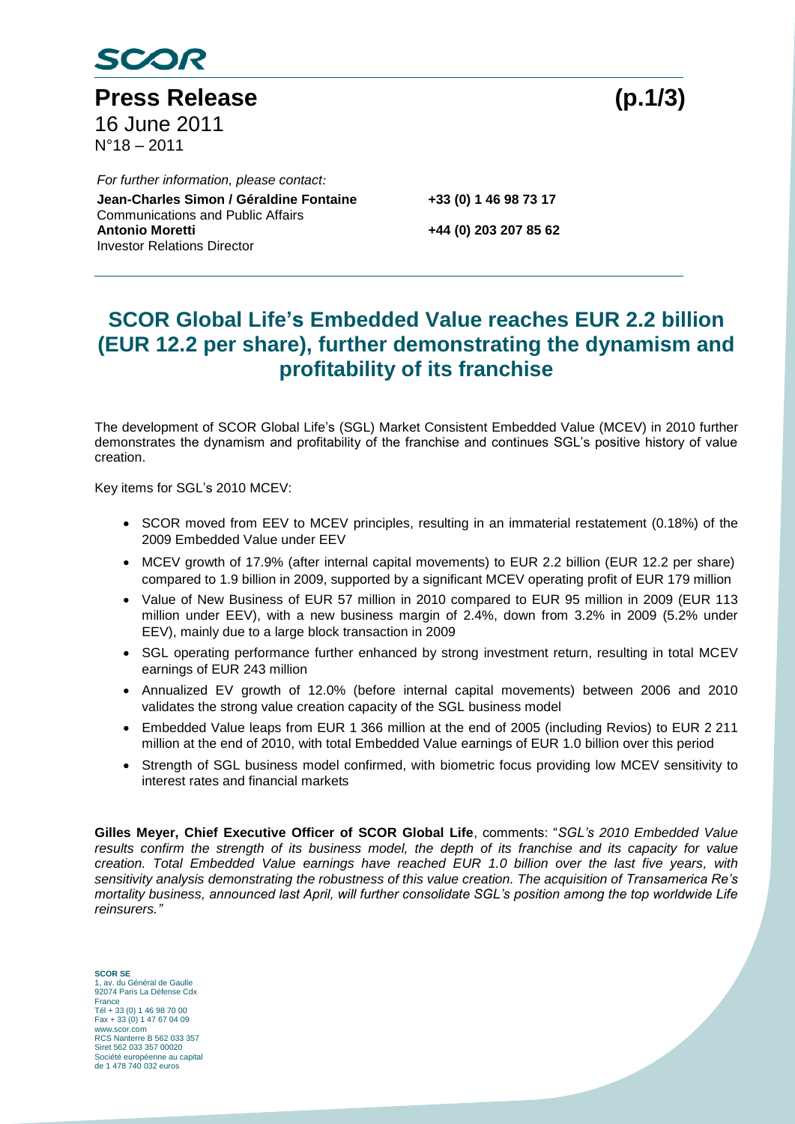

Press Release (p.1/3) 16 June 2011 N°18 – 2011

Co **Jean-Charles Simon / Géraldine Fontaine +33 (0) 1 46 98 73 17** *For further information, please contact:* Communications and Public Affairs<br>Antonio Moretti Investor Relations Director

**Antonio Moretti +44 (0) 203 207 85 62**

# **SCOR Global Life's Embedded Value reaches EUR 2.2 billion (EUR 12.2 per share), further demonstrating the dynamism and profitability of its franchise**

The development of SCOR Global Life's (SGL) Market Consistent Embedded Value (MCEV) in 2010 further demonstrates the dynamism and profitability of the franchise and continues SGL's positive history of value creation.

Key items for SGL's 2010 MCEV:

- SCOR moved from EEV to MCEV principles, resulting in an immaterial restatement (0.18%) of the 2009 Embedded Value under EEV
- MCEV growth of 17.9% (after internal capital movements) to EUR 2.2 billion (EUR 12.2 per share) compared to 1.9 billion in 2009, supported by a significant MCEV operating profit of EUR 179 million
- Value of New Business of EUR 57 million in 2010 compared to EUR 95 million in 2009 (EUR 113 million under EEV), with a new business margin of 2.4%, down from 3.2% in 2009 (5.2% under EEV), mainly due to a large block transaction in 2009
- SGL operating performance further enhanced by strong investment return, resulting in total MCEV earnings of EUR 243 million
- Annualized EV growth of 12.0% (before internal capital movements) between 2006 and 2010 validates the strong value creation capacity of the SGL business model
- Embedded Value leaps from EUR 1 366 million at the end of 2005 (including Revios) to EUR 2 211 million at the end of 2010, with total Embedded Value earnings of EUR 1.0 billion over this period
- Strength of SGL business model confirmed, with biometric focus providing low MCEV sensitivity to interest rates and financial markets

**Gilles Meyer, Chief Executive Officer of SCOR Global Life**, comments: "*SGL's 2010 Embedded Value results confirm the strength of its business model, the depth of its franchise and its capacity for value creation. Total Embedded Value earnings have reached EUR 1.0 billion over the last five years, with sensitivity analysis demonstrating the robustness of this value creation. The acquisition of Transamerica Re's mortality business, announced last April, will further consolidate SGL's position among the top worldwide Life reinsurers."*

**SCOR SE** 1, av. du Général de Gaulle 92074 Paris La Défense Cdx France Tél + 33 (0) 1 46 98 70 00 Fax + 33 (0) 1 47 67 04 09 www.scor.com RCS Nanterre B 562 033 357 Siret 562 033 357 00020 Société européenne au capital de 1 478 740 032 euros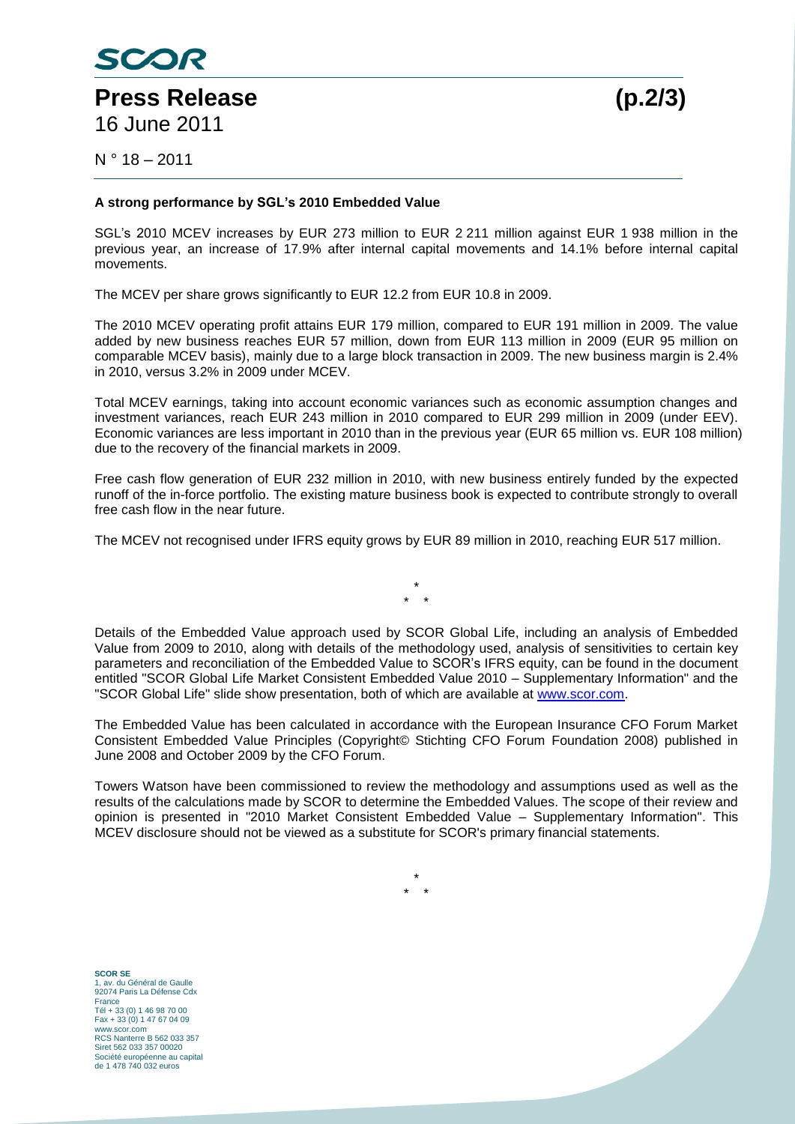

16 June 2011

 $N^{\circ}$  18 – 2011

## **A strong performance by SGL's 2010 Embedded Value**

SGL's 2010 MCEV increases by EUR 273 million to EUR 2 211 million against EUR 1 938 million in the previous year, an increase of 17.9% after internal capital movements and 14.1% before internal capital movements.

The MCEV per share grows significantly to EUR 12.2 from EUR 10.8 in 2009.

The 2010 MCEV operating profit attains EUR 179 million, compared to EUR 191 million in 2009. The value added by new business reaches EUR 57 million, down from EUR 113 million in 2009 (EUR 95 million on comparable MCEV basis), mainly due to a large block transaction in 2009. The new business margin is 2.4% in 2010, versus 3.2% in 2009 under MCEV.

Total MCEV earnings, taking into account economic variances such as economic assumption changes and investment variances, reach EUR 243 million in 2010 compared to EUR 299 million in 2009 (under EEV). Economic variances are less important in 2010 than in the previous year (EUR 65 million vs. EUR 108 million) due to the recovery of the financial markets in 2009.

Free cash flow generation of EUR 232 million in 2010, with new business entirely funded by the expected runoff of the in-force portfolio. The existing mature business book is expected to contribute strongly to overall free cash flow in the near future.

The MCEV not recognised under IFRS equity grows by EUR 89 million in 2010, reaching EUR 517 million.

\* \* \*

Details of the Embedded Value approach used by SCOR Global Life, including an analysis of Embedded Value from 2009 to 2010, along with details of the methodology used, analysis of sensitivities to certain key parameters and reconciliation of the Embedded Value to SCOR's IFRS equity, can be found in the document entitled "SCOR Global Life Market Consistent Embedded Value 2010 – Supplementary Information" and the "SCOR Global Life" slide show presentation, both of which are available at [www.scor.com.](http://www.scor.com/)

The Embedded Value has been calculated in accordance with the European Insurance CFO Forum Market Consistent Embedded Value Principles (Copyright© Stichting CFO Forum Foundation 2008) published in June 2008 and October 2009 by the CFO Forum.

Towers Watson have been commissioned to review the methodology and assumptions used as well as the results of the calculations made by SCOR to determine the Embedded Values. The scope of their review and opinion is presented in "2010 Market Consistent Embedded Value – Supplementary Information". This MCEV disclosure should not be viewed as a substitute for SCOR's primary financial statements.

> \* \* \*

**SCOR SE** 1, av. du Général de Gaulle 92074 Paris La Défense Cdx France Tél + 33 (0) 1 46 98 70 00 Fax + 33 (0) 1 47 67 04 09 www.scor.com RCS Nanterre B 562 033 357 Siret 562 033 357 00020 Société européenne au capital de 1 478 740 032 euros